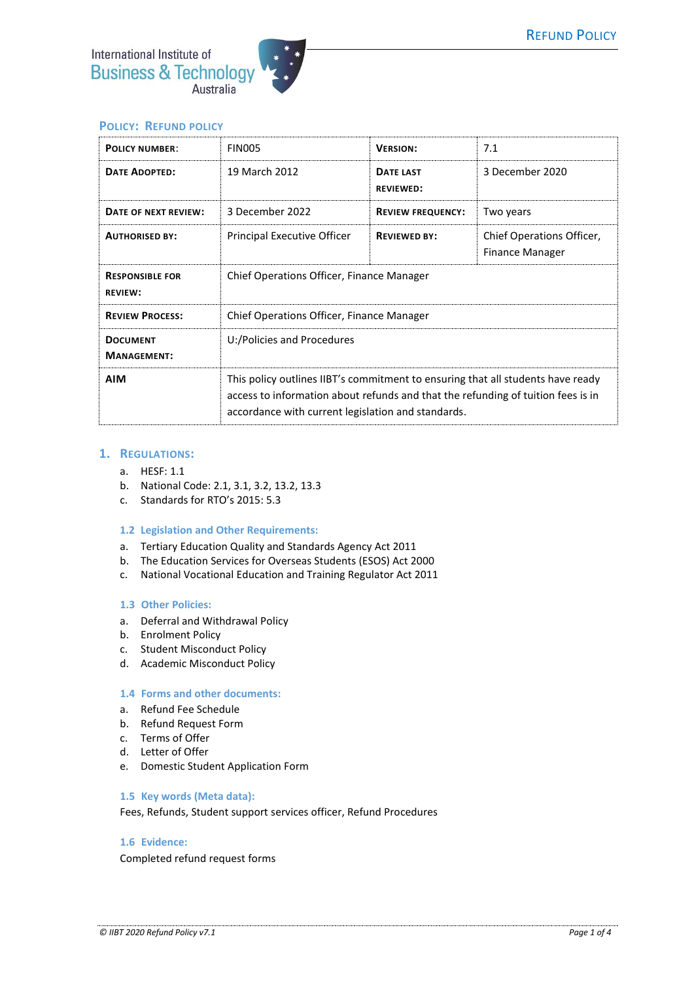



# **POLICY: REFUND POLICY**

| <b>POLICY NUMBER:</b>                    | <b>FIN005</b>                                                                                                                                                                                                             | <b>VERSION:</b>                      | 7.1                                          |
|------------------------------------------|---------------------------------------------------------------------------------------------------------------------------------------------------------------------------------------------------------------------------|--------------------------------------|----------------------------------------------|
| <b>DATE ADOPTED:</b>                     | 19 March 2012                                                                                                                                                                                                             | <b>DATE LAST</b><br><b>REVIEWED:</b> | 3 December 2020                              |
| DATE OF NEXT REVIEW:                     | 3 December 2022                                                                                                                                                                                                           | <b>REVIEW FREQUENCY:</b>             | Two years                                    |
| <b>AUTHORISED BY:</b>                    | Principal Executive Officer                                                                                                                                                                                               | <b>REVIEWED BY:</b>                  | Chief Operations Officer,<br>Finance Manager |
| <b>RESPONSIBLE FOR</b><br><b>REVIEW:</b> | Chief Operations Officer, Finance Manager                                                                                                                                                                                 |                                      |                                              |
| <b>REVIEW PROCESS:</b>                   | Chief Operations Officer, Finance Manager                                                                                                                                                                                 |                                      |                                              |
| <b>DOCUMENT</b><br><b>MANAGEMENT:</b>    | U:/Policies and Procedures                                                                                                                                                                                                |                                      |                                              |
| <b>AIM</b>                               | This policy outlines IIBT's commitment to ensuring that all students have ready<br>access to information about refunds and that the refunding of tuition fees is in<br>accordance with current legislation and standards. |                                      |                                              |

# **1. REGULATIONS:**

- a. HESF: 1.1
- b. National Code: 2.1, 3.1, 3.2, 13.2, 13.3
- c. Standards for RTO's 2015: 5.3

#### **1.2 Legislation and Other Requirements:**

- a. Tertiary Education Quality and Standards Agency Act 2011
- b. The Education Services for Overseas Students (ESOS) Act 2000
- c. National Vocational Education and Training Regulator Act 2011

#### **1.3 Other Policies:**

- a. Deferral and Withdrawal Policy
- b. Enrolment Policy
- c. Student Misconduct Policy
- d. Academic Misconduct Policy

#### **1.4 Forms and other documents:**

- a. Refund Fee Schedule
- b. Refund Request Form
- c. Terms of Offer
- d. Letter of Offer
- e. Domestic Student Application Form

### **1.5 Key words (Meta data):**

Fees, Refunds, Student support services officer, Refund Procedures

# **1.6 Evidence:**

Completed refund request forms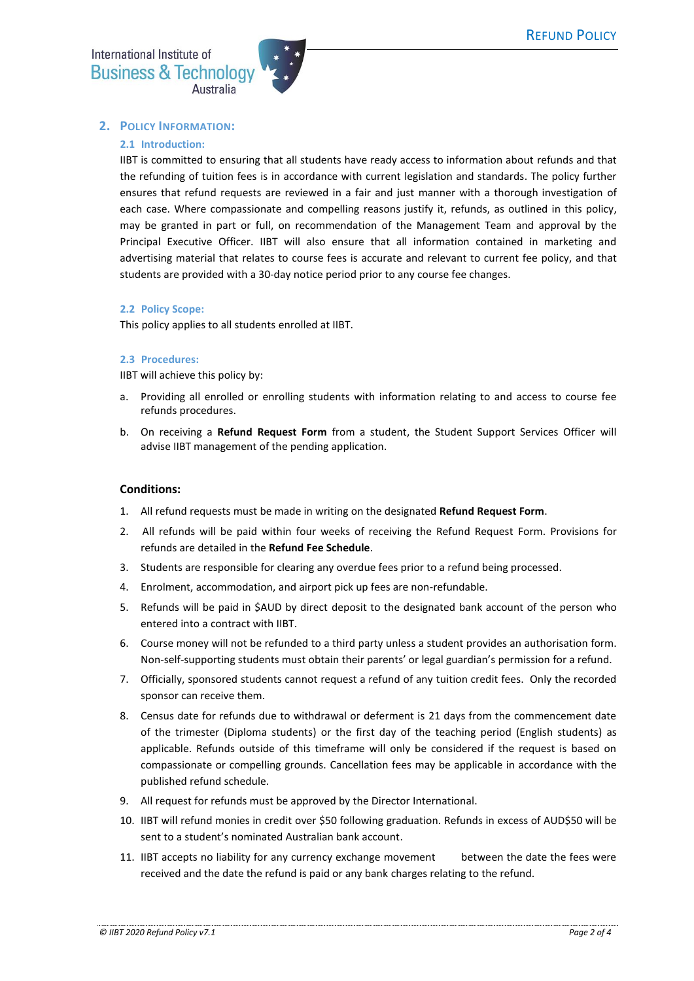International Institute of **Business & Technology** 



# **2. POLICY INFORMATION:**

### **2.1 Introduction:**

IIBT is committed to ensuring that all students have ready access to information about refunds and that the refunding of tuition fees is in accordance with current legislation and standards. The policy further ensures that refund requests are reviewed in a fair and just manner with a thorough investigation of each case. Where compassionate and compelling reasons justify it, refunds, as outlined in this policy, may be granted in part or full, on recommendation of the Management Team and approval by the Principal Executive Officer. IIBT will also ensure that all information contained in marketing and advertising material that relates to course fees is accurate and relevant to current fee policy, and that students are provided with a 30-day notice period prior to any course fee changes.

#### **2.2 Policy Scope:**

This policy applies to all students enrolled at IIBT.

#### **2.3 Procedures:**

IIBT will achieve this policy by:

- a. Providing all enrolled or enrolling students with information relating to and access to course fee refunds procedures.
- b. On receiving a **Refund Request Form** from a student, the Student Support Services Officer will advise IIBT management of the pending application.

### **Conditions:**

- 1. All refund requests must be made in writing on the designated **Refund Request Form**.
- 2. All refunds will be paid within four weeks of receiving the Refund Request Form. Provisions for refunds are detailed in the **Refund Fee Schedule**.
- 3. Students are responsible for clearing any overdue fees prior to a refund being processed.
- 4. Enrolment, accommodation, and airport pick up fees are non-refundable.
- 5. Refunds will be paid in \$AUD by direct deposit to the designated bank account of the person who entered into a contract with IIBT.
- 6. Course money will not be refunded to a third party unless a student provides an authorisation form. Non-self-supporting students must obtain their parents' or legal guardian's permission for a refund.
- 7. Officially, sponsored students cannot request a refund of any tuition credit fees. Only the recorded sponsor can receive them.
- 8. Census date for refunds due to withdrawal or deferment is 21 days from the commencement date of the trimester (Diploma students) or the first day of the teaching period (English students) as applicable. Refunds outside of this timeframe will only be considered if the request is based on compassionate or compelling grounds. Cancellation fees may be applicable in accordance with the published refund schedule.
- 9. All request for refunds must be approved by the Director International.
- 10. IIBT will refund monies in credit over \$50 following graduation. Refunds in excess of AUD\$50 will be sent to a student's nominated Australian bank account.
- 11. IIBT accepts no liability for any currency exchange movement between the date the fees were received and the date the refund is paid or any bank charges relating to the refund.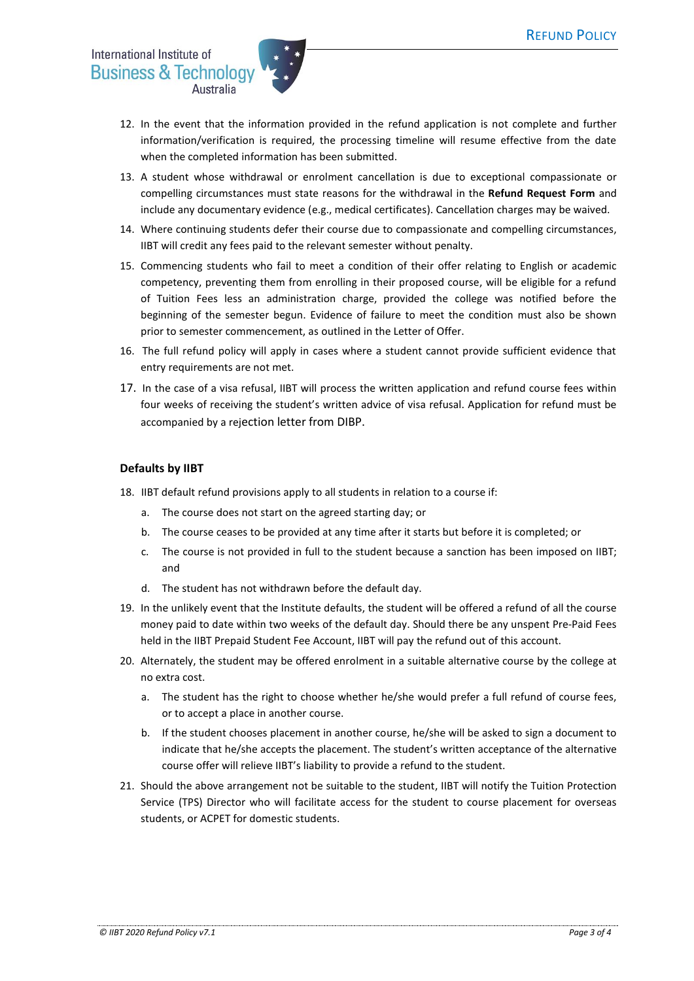

- 12. In the event that the information provided in the refund application is not complete and further information/verification is required, the processing timeline will resume effective from the date when the completed information has been submitted.
- 13. A student whose withdrawal or enrolment cancellation is due to exceptional compassionate or compelling circumstances must state reasons for the withdrawal in the **Refund Request Form** and include any documentary evidence (e.g., medical certificates). Cancellation charges may be waived.
- 14. Where continuing students defer their course due to compassionate and compelling circumstances, IIBT will credit any fees paid to the relevant semester without penalty.
- 15. Commencing students who fail to meet a condition of their offer relating to English or academic competency, preventing them from enrolling in their proposed course, will be eligible for a refund of Tuition Fees less an administration charge, provided the college was notified before the beginning of the semester begun. Evidence of failure to meet the condition must also be shown prior to semester commencement, as outlined in the Letter of Offer.
- 16. The full refund policy will apply in cases where a student cannot provide sufficient evidence that entry requirements are not met.
- 17. In the case of a visa refusal, IIBT will process the written application and refund course fees within four weeks of receiving the student's written advice of visa refusal. Application for refund must be accompanied by a rejection letter from DIBP.

# **Defaults by IIBT**

- 18. IIBT default refund provisions apply to all students in relation to a course if:
	- a. The course does not start on the agreed starting day; or
	- b. The course ceases to be provided at any time after it starts but before it is completed; or
	- c. The course is not provided in full to the student because a sanction has been imposed on IIBT; and
	- d. The student has not withdrawn before the default day.
- 19. In the unlikely event that the Institute defaults, the student will be offered a refund of all the course money paid to date within two weeks of the default day. Should there be any unspent Pre-Paid Fees held in the IIBT Prepaid Student Fee Account, IIBT will pay the refund out of this account.
- 20. Alternately, the student may be offered enrolment in a suitable alternative course by the college at no extra cost.
	- a. The student has the right to choose whether he/she would prefer a full refund of course fees, or to accept a place in another course.
	- b. If the student chooses placement in another course, he/she will be asked to sign a document to indicate that he/she accepts the placement. The student's written acceptance of the alternative course offer will relieve IIBT's liability to provide a refund to the student.
- 21. Should the above arrangement not be suitable to the student, IIBT will notify the Tuition Protection Service (TPS) Director who will facilitate access for the student to course placement for overseas students, or ACPET for domestic students.